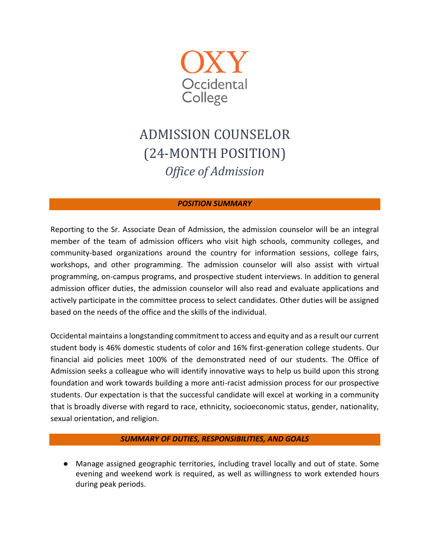

# ADMISSION COUNSELOR (24-MONTH POSITION) *Office of Admission*

# *POSITION SUMMARY*

Reporting to the Sr. Associate Dean of Admission, the admission counselor will be an integral member of the team of admission officers who visit high schools, community colleges, and community-based organizations around the country for information sessions, college fairs, workshops, and other programming. The admission counselor will also assist with virtual programming, on-campus programs, and prospective student interviews. In addition to general admission officer duties, the admission counselor will also read and evaluate applications and actively participate in the committee process to select candidates. Other duties will be assigned based on the needs of the office and the skills of the individual.

Occidental maintains a longstanding commitment to access and equity and as a result our current student body is 46% domestic students of color and 16% first-generation college students. Our financial aid policies meet 100% of the demonstrated need of our students. The Office of Admission seeks a colleague who will identify innovative ways to help us build upon this strong foundation and work towards building a more anti-racist admission process for our prospective students. Our expectation is that the successful candidate will excel at working in a community that is broadly diverse with regard to race, ethnicity, socioeconomic status, gender, nationality, sexual orientation, and religion.

## *SUMMARY OF DUTIES, RESPONSIBILITIES, AND GOALS*

● Manage assigned geographic territories, including travel locally and out of state. Some evening and weekend work is required, as well as willingness to work extended hours during peak periods.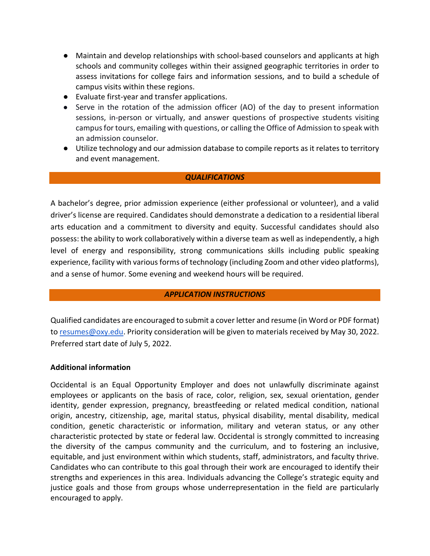- Maintain and develop relationships with school-based counselors and applicants at high schools and community colleges within their assigned geographic territories in order to assess invitations for college fairs and information sessions, and to build a schedule of campus visits within these regions.
- Evaluate first-year and transfer applications.
- Serve in the rotation of the admission officer (AO) of the day to present information sessions, in-person or virtually, and answer questions of prospective students visiting campus for tours, emailing with questions, or calling the Office of Admission to speak with an admission counselor.
- Utilize technology and our admission database to compile reports as it relates to territory and event management.

# *QUALIFICATIONS*

A bachelor's degree, prior admission experience (either professional or volunteer), and a valid driver's license are required. Candidates should demonstrate a dedication to a residential liberal arts education and a commitment to diversity and equity. Successful candidates should also possess: the ability to work collaboratively within a diverse team as well as independently, a high level of energy and responsibility, strong communications skills including public speaking experience, facility with various forms of technology (including Zoom and other video platforms), and a sense of humor. Some evening and weekend hours will be required.

## *APPLICATION INSTRUCTIONS*

Qualified candidates are encouraged to submit a cover letter and resume (in Word or PDF format) to [resumes@oxy.edu.](mailto:resumes@oxy.edu) Priority consideration will be given to materials received by May 30, 2022. Preferred start date of July 5, 2022.

## **Additional information**

Occidental is an Equal Opportunity Employer and does not unlawfully discriminate against employees or applicants on the basis of race, color, religion, sex, sexual orientation, gender identity, gender expression, pregnancy, breastfeeding or related medical condition, national origin, ancestry, citizenship, age, marital status, physical disability, mental disability, medical condition, genetic characteristic or information, military and veteran status, or any other characteristic protected by state or federal law. Occidental is strongly committed to increasing the diversity of the campus community and the curriculum, and to fostering an inclusive, equitable, and just environment within which students, staff, administrators, and faculty thrive. Candidates who can contribute to this goal through their work are encouraged to identify their strengths and experiences in this area. Individuals advancing the College's strategic equity and justice goals and those from groups whose underrepresentation in the field are particularly encouraged to apply.